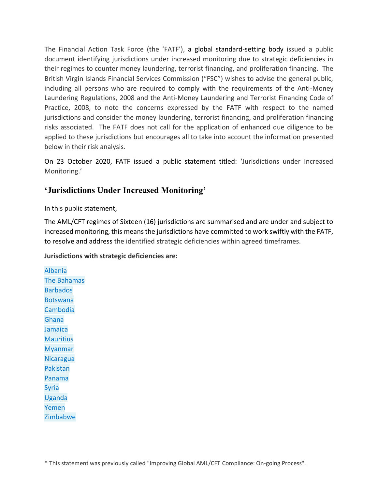The Financial Action Task Force (the 'FATF'), a global standard-setting body issued a public document identifying jurisdictions under increased monitoring due to strategic deficiencies in their regimes to counter money laundering, terrorist financing, and proliferation financing. The British Virgin Islands Financial Services Commission ("FSC") wishes to advise the general public, including all persons who are required to comply with the requirements of the Anti-Money Laundering Regulations, 2008 and the Anti-Money Laundering and Terrorist Financing Code of Practice, 2008, to note the concerns expressed by the FATF with respect to the named jurisdictions and consider the money laundering, terrorist financing, and proliferation financing risks associated. The FATF does not call for the application of enhanced due diligence to be applied to these jurisdictions but encourages all to take into account the information presented below in their risk analysis.

On 23 October 2020, FATF issued a public statement titled: 'Jurisdictions under Increased Monitoring.'

### **'Jurisdictions Under Increased Monitoring'**

In this public statement,

The AML/CFT regimes of Sixteen (16) jurisdictions are summarised and are under and subject to increased monitoring, this means the jurisdictions have committed to work swiftly with the FATF, to resolve and address the identified strategic deficiencies within agreed timeframes.

### **Jurisdictions with strategic deficiencies are:**

[Albania](http://www.fatf-gafi.org/publications/high-risk-and-other-monitored-jurisdictions/documents/increased-monitoring-october-2020.html#albania) [The Bahamas](http://www.fatf-gafi.org/publications/high-risk-and-other-monitored-jurisdictions/documents/increased-monitoring-october-2020.html#bahamas) [Barbados](http://www.fatf-gafi.org/publications/high-risk-and-other-monitored-jurisdictions/documents/increased-monitoring-october-2020.html#barbados) [Botswana](http://www.fatf-gafi.org/publications/high-risk-and-other-monitored-jurisdictions/documents/increased-monitoring-october-2020.html#botswana) [Cambodia](http://www.fatf-gafi.org/publications/high-risk-and-other-monitored-jurisdictions/documents/increased-monitoring-october-2020.html#cambodia) [Ghana](http://www.fatf-gafi.org/publications/high-risk-and-other-monitored-jurisdictions/documents/increased-monitoring-october-2020.html#ghana) [Jamaica](http://www.fatf-gafi.org/publications/high-risk-and-other-monitored-jurisdictions/documents/increased-monitoring-october-2020.html#jamaica) **[Mauritius](http://www.fatf-gafi.org/publications/high-risk-and-other-monitored-jurisdictions/documents/increased-monitoring-october-2020.html#mauritius)** [Myanmar](http://www.fatf-gafi.org/publications/high-risk-and-other-monitored-jurisdictions/documents/increased-monitoring-october-2020.html#myanmar) [Nicaragua](http://www.fatf-gafi.org/publications/high-risk-and-other-monitored-jurisdictions/documents/increased-monitoring-october-2020.html#nicaragua) [Pakistan](http://www.fatf-gafi.org/publications/high-risk-and-other-monitored-jurisdictions/documents/increased-monitoring-october-2020.html#pakistan) [Panama](http://www.fatf-gafi.org/publications/high-risk-and-other-monitored-jurisdictions/documents/increased-monitoring-october-2020.html#panama) [Syria](http://www.fatf-gafi.org/publications/high-risk-and-other-monitored-jurisdictions/documents/increased-monitoring-october-2020.html#syria) [Uganda](http://www.fatf-gafi.org/publications/high-risk-and-other-monitored-jurisdictions/documents/increased-monitoring-october-2020.html#uganda) [Yemen](http://www.fatf-gafi.org/publications/high-risk-and-other-monitored-jurisdictions/documents/increased-monitoring-october-2020.html#yemen) [Zimbabwe](http://www.fatf-gafi.org/publications/high-risk-and-other-monitored-jurisdictions/documents/increased-monitoring-october-2020.html#zimbabwe)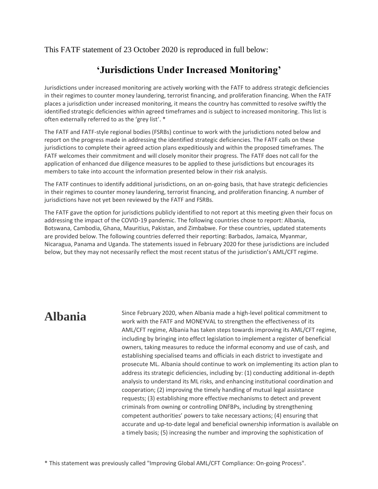This FATF statement of 23 October 2020 is reproduced in full below:

### **'Jurisdictions Under Increased Monitoring'**

Jurisdictions under increased monitoring are actively working with the FATF to address strategic deficiencies in their regimes to counter money laundering, terrorist financing, and proliferation financing. When the FATF places a jurisdiction under increased monitoring, it means the country has committed to resolve swiftly the identified strategic deficiencies within agreed timeframes and is subject to increased monitoring. This list is often externally referred to as the 'grey list'. \*

The FATF and FATF-style regional bodies (FSRBs) continue to work with the jurisdictions noted below and report on the progress made in addressing the identified strategic deficiencies. The FATF calls on these jurisdictions to complete their agreed action plans expeditiously and within the proposed timeframes. The FATF welcomes their commitment and will closely monitor their progress. The FATF does not call for the application of enhanced due diligence measures to be applied to these jurisdictions but encourages its members to take into account the information presented below in their risk analysis.

The FATF continues to identify additional jurisdictions, on an on-going basis, that have strategic deficiencies in their regimes to counter money laundering, terrorist financing, and proliferation financing. A number of jurisdictions have not yet been reviewed by the FATF and FSRBs.

The FATF gave the option for jurisdictions publicly identified to not report at this meeting given their focus on addressing the impact of the COVID-19 pandemic. The following countries chose to report: Albania, Botswana, Cambodia, Ghana, Mauritius, Pakistan, and Zimbabwe. For these countries, updated statements are provided below. The following countries deferred their reporting: Barbados, Jamaica, Myanmar, Nicaragua, Panama and Uganda. The statements issued in February 2020 for these jurisdictions are included below, but they may not necessarily reflect the most recent status of the jurisdiction's AML/CFT regime.

Alhania Since February 2020, when Albania made a high-level political commitment to work with the FATF and MONEYVAL to strengthen the effectiveness of its AML/CFT regime, Albania has taken steps towards improving its AML/CFT regime, including by bringing into effect legislation to implement a register of beneficial owners, taking measures to reduce the informal economy and use of cash, and establishing specialised teams and officials in each district to investigate and prosecute ML. Albania should continue to work on implementing its action plan to address its strategic deficiencies, including by: (1) conducting additional in-depth analysis to understand its ML risks, and enhancing institutional coordination and cooperation; (2) improving the timely handling of mutual legal assistance requests; (3) establishing more effective mechanisms to detect and prevent criminals from owning or controlling DNFBPs, including by strengthening competent authorities' powers to take necessary actions; (4) ensuring that accurate and up-to-date legal and beneficial ownership information is available on a timely basis; (5) increasing the number and improving the sophistication of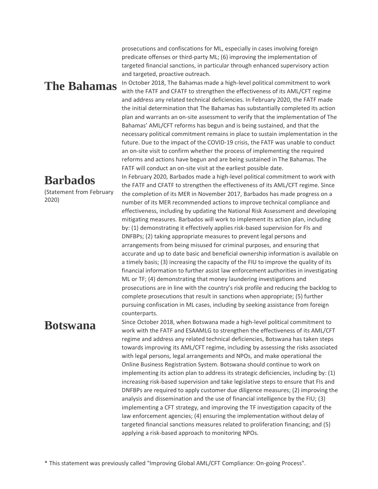prosecutions and confiscations for ML, especially in cases involving foreign predicate offenses or third-party ML; (6) improving the implementation of targeted financial sanctions, in particular through enhanced supervisory action and targeted, proactive outreach.

**Barbados**

2020)

(Statement from February

The Bahamas In October 2018, The Bahamas made a high-level political commitment to work with the FATF and CFATF to strengthen the effectiveness of its AML/CFT regime and address any related technical deficiencies. In February 2020, the FATF made the initial determination that The Bahamas has substantially completed its action plan and warrants an on-site assessment to verify that the implementation of The Bahamas' AML/CFT reforms has begun and is being sustained, and that the necessary political commitment remains in place to sustain implementation in the future. Due to the impact of the COVID-19 crisis, the FATF was unable to conduct an on-site visit to confirm whether the process of implementing the required reforms and actions have begun and are being sustained in The Bahamas. The FATF will conduct an on-site visit at the earliest possible date.

> In February 2020, Barbados made a high-level political commitment to work with the FATF and CFATF to strengthen the effectiveness of its AML/CFT regime. Since the completion of its MER in November 2017, Barbados has made progress on a number of its MER recommended actions to improve technical compliance and effectiveness, including by updating the National Risk Assessment and developing mitigating measures. Barbados will work to implement its action plan, including by: (1) demonstrating it effectively applies risk-based supervision for FIs and DNFBPs; (2) taking appropriate measures to prevent legal persons and arrangements from being misused for criminal purposes, and ensuring that accurate and up to date basic and beneficial ownership information is available on a timely basis; (3) increasing the capacity of the FIU to improve the quality of its financial information to further assist law enforcement authorities in investigating ML or TF; (4) demonstrating that money laundering investigations and prosecutions are in line with the country's risk profile and reducing the backlog to complete prosecutions that result in sanctions when appropriate; (5) further pursuing confiscation in ML cases, including by seeking assistance from foreign counterparts.

**Botswana** Since October 2018, when Botswana made a high-level political commitment to work with the FATF and ESAAMLG to strengthen the effectiveness of its AML/CFT regime and address any related technical deficiencies, Botswana has taken steps towards improving its AML/CFT regime, including by assessing the risks associated with legal persons, legal arrangements and NPOs, and make operational the Online Business Registration System. Botswana should continue to work on implementing its action plan to address its strategic deficiencies, including by: (1) increasing risk-based supervision and take legislative steps to ensure that FIs and DNFBPs are required to apply customer due diligence measures; (2) improving the analysis and dissemination and the use of financial intelligence by the FIU; (3) implementing a CFT strategy, and improving the TF investigation capacity of the law enforcement agencies; (4) ensuring the implementation without delay of targeted financial sanctions measures related to proliferation financing; and (5) applying a risk-based approach to monitoring NPOs.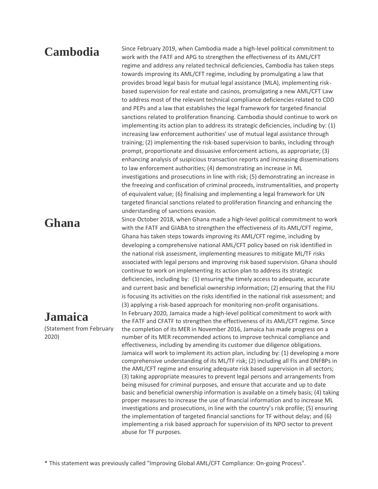Cambodia Since February 2019, when Cambodia made a high-level political commitment to work with the FATF and APG to strengthen the effectiveness of its AML/CFT regime and address any related technical deficiencies, Cambodia has taken steps towards improving its AML/CFT regime, including by promulgating a law that provides broad legal basis for mutual legal assistance (MLA), implementing riskbased supervision for real estate and casinos, promulgating a new AML/CFT Law to address most of the relevant technical compliance deficiencies related to CDD and PEPs and a law that establishes the legal framework for targeted financial sanctions related to proliferation financing. Cambodia should continue to work on implementing its action plan to address its strategic deficiencies, including by: (1) increasing law enforcement authorities' use of mutual legal assistance through training; (2) implementing the risk-based supervision to banks, including through prompt, proportionate and dissuasive enforcement actions, as appropriate; (3) enhancing analysis of suspicious transaction reports and increasing disseminations to law enforcement authorities; (4) demonstrating an increase in ML investigations and prosecutions in line with risk; (5) demonstrating an increase in the freezing and confiscation of criminal proceeds, instrumentalities, and property of equivalent value; (6) finalising and implementing a legal framework for UN targeted financial sanctions related to proliferation financing and enhancing the understanding of sanctions evasion.

### **Jamaica**

(Statement from February 2020)

**Ghana** Since October 2018, when Ghana made a high-level political commitment to work with the FATF and GIABA to strengthen the effectiveness of its AML/CFT regime, Ghana has taken steps towards improving its AML/CFT regime, including by developing a comprehensive national AML/CFT policy based on risk identified in the national risk assessment, implementing measures to mitigate ML/TF risks associated with legal persons and improving risk based supervision. Ghana should continue to work on implementing its action plan to address its strategic deficiencies, including by: (1) ensuring the timely access to adequate, accurate and current basic and beneficial ownership information; (2) ensuring that the FIU is focusing its activities on the risks identified in the national risk assessment; and (3) applying a risk-based approach for monitoring non-profit organisations. In February 2020, Jamaica made a high-level political commitment to work with the FATF and CFATF to strengthen the effectiveness of its AML/CFT regime. Since the completion of its MER in November 2016, Jamaica has made progress on a number of its MER recommended actions to improve technical compliance and effectiveness, including by amending its customer due diligence obligations. Jamaica will work to implement its action plan, including by: (1) developing a more comprehensive understanding of its ML/TF risk; (2) including all FIs and DNFBPs in the AML/CFT regime and ensuring adequate risk based supervision in all sectors; (3) taking appropriate measures to prevent legal persons and arrangements from being misused for criminal purposes, and ensure that accurate and up to date basic and beneficial ownership information is available on a timely basis; (4) taking proper measures to increase the use of financial information and to increase ML investigations and prosecutions, in line with the country's risk profile; (5) ensuring the implementation of targeted financial sanctions for TF without delay; and (6) implementing a risk based approach for supervision of its NPO sector to prevent abuse for TF purposes.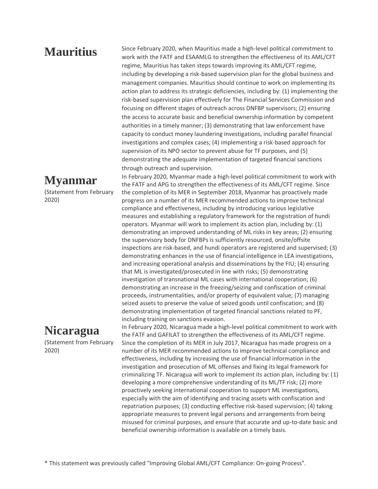**Mauritius** Since February 2020, when Mauritius made a high-level political commitment to work with the FATF and ESAAMLG to strengthen the effectiveness of its AML/CFT regime, Mauritius has taken steps towards improving its AML/CFT regime, including by developing a risk-based supervision plan for the global business and management companies. Mauritius should continue to work on implementing its action plan to address its strategic deficiencies, including by: (1) implementing the risk-based supervision plan effectively for The Financial Services Commission and focusing on different stages of outreach across DNFBP supervisors; (2) ensuring the access to accurate basic and beneficial ownership information by competent authorities in a timely manner; (3) demonstrating that law enforcement have capacity to conduct money laundering investigations, including parallel financial investigations and complex cases; (4) implementing a risk-based approach for supervision of its NPO sector to prevent abuse for TF purposes, and (5) demonstrating the adequate implementation of targeted financial sanctions through outreach and supervision.

> In February 2020, Myanmar made a high-level political commitment to work with the FATF and APG to strengthen the effectiveness of its AML/CFT regime. Since the completion of its MER in September 2018, Myanmar has proactively made progress on a number of its MER recommended actions to improve technical compliance and effectiveness, including by introducing various legislative measures and establishing a regulatory framework for the registration of hundi operators. Myanmar will work to implement its action plan, including by: (1) demonstrating an improved understanding of ML risks in key areas; (2) ensuring the supervisory body for DNFBPs is sufficiently resourced, onsite/offsite inspections are risk-based, and hundi operators are registered and supervised; (3) demonstrating enhances in the use of financial intelligence in LEA investigations, and increasing operational analysis and disseminations by the FIU; (4) ensuring that ML is investigated/prosecuted in line with risks; (5) demonstrating investigation of transnational ML cases with international cooperation; (6) demonstrating an increase in the freezing/seizing and confiscation of criminal proceeds, instrumentalities, and/or property of equivalent value; (7) managing seized assets to preserve the value of seized goods until confiscation; and (8) demonstrating implementation of targeted financial sanctions related to PF, including training on sanctions evasion.

> In February 2020, Nicaragua made a high-level political commitment to work with the FATF and GAFILAT to strengthen the effectiveness of its AML/CFT regime. Since the completion of its MER in July 2017, Nicaragua has made progress on a number of its MER recommended actions to improve technical compliance and effectiveness, including by increasing the use of financial information in the investigation and prosecution of ML offenses and fixing its legal framework for criminalizing TF. Nicaragua will work to implement its action plan, including by: (1) developing a more comprehensive understanding of its ML/TF risk; (2) more proactively seeking international cooperation to support ML investigations, especially with the aim of identifying and tracing assets with confiscation and repatriation purposes; (3) conducting effective risk-based supervision; (4) taking appropriate measures to prevent legal persons and arrangements from being misused for criminal purposes, and ensure that accurate and up-to-date basic and beneficial ownership information is available on a timely basis.

### **Myanmar**

(Statement from February 2020)

## **Nicaragua**

(Statement from February 2020)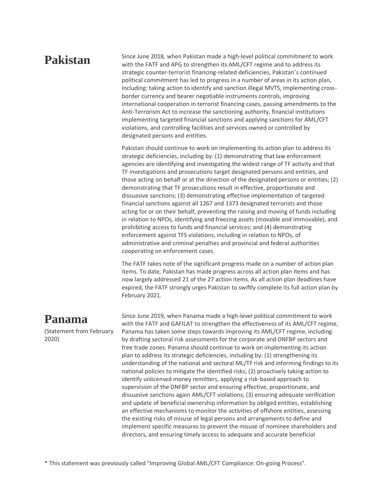**Pakistan** Since June 2018, when Pakistan made a high-level political commitment to work with the FATF and APG to strengthen its AML/CFT regime and to address its strategic counter-terrorist financing-related deficiencies, Pakistan's continued political commitment has led to progress in a number of areas in its action plan, including: taking action to identify and sanction illegal MVTS, implementing crossborder currency and bearer negotiable instruments controls, improving international cooperation in terrorist financing cases, passing amendments to the Anti-Terrorism Act to increase the sanctioning authority, financial institutions implementing targeted financial sanctions and applying sanctions for AML/CFT violations, and controlling facilities and services owned or controlled by designated persons and entities.

> Pakistan should continue to work on implementing its action plan to address its strategic deficiencies, including by: (1) demonstrating that law enforcement agencies are identifying and investigating the widest range of TF activity and that TF investigations and prosecutions target designated persons and entities, and those acting on behalf or at the direction of the designated persons or entities; (2) demonstrating that TF prosecutions result in effective, proportionate and dissuasive sanctions; (3) demonstrating effective implementation of targeted financial sanctions against all 1267 and 1373 designated terrorists and those acting for or on their behalf, preventing the raising and moving of funds including in relation to NPOs, identifying and freezing assets (movable and immovable), and prohibiting access to funds and financial services; and (4) demonstrating enforcement against TFS violations, including in relation to NPOs, of administrative and criminal penalties and provincial and federal authorities cooperating on enforcement cases.

> The FATF takes note of the significant progress made on a number of action plan items. To date, Pakistan has made progress across all action plan items and has now largely addressed 21 of the 27 action items. As all action plan deadlines have expired, the FATF strongly urges Pakistan to swiftly complete its full action plan by February 2021.

### **Panama**

(Statement from February 2020)

Since June 2019, when Panama made a high-level political commitment to work with the FATF and GAFILAT to strengthen the effectiveness of its AML/CFT regime, Panama has taken some steps towards improving its AML/CFT regime, including by drafting sectoral risk assessments for the corporate and DNFBP sectors and free trade zones. Panama should continue to work on implementing its action plan to address its strategic deficiencies, including by: (1) strengthening its understanding of the national and sectoral ML/TF risk and informing findings to its national policies to mitigate the identified risks; (2) proactively taking action to identify unlicensed money remitters, applying a risk-based approach to supervision of the DNFBP sector and ensuring effective, proportionate, and dissuasive sanctions again AML/CFT violations; (3) ensuring adequate verification and update of beneficial ownership information by obliged entities, establishing an effective mechanisms to monitor the activities of offshore entities, assessing the existing risks of misuse of legal persons and arrangements to define and implement specific measures to prevent the misuse of nominee shareholders and directors, and ensuring timely access to adequate and accurate beneficial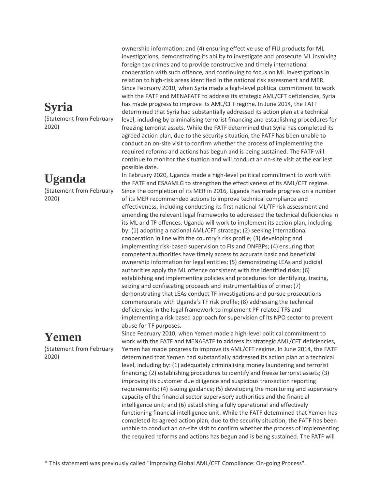# **Syria**

(Statement from February 2020)

# **Uganda**

(Statement from February 2020)

# **Yemen**

(Statement from February 2020)

ownership information; and (4) ensuring effective use of FIU products for ML investigations, demonstrating its ability to investigate and prosecute ML involving foreign tax crimes and to provide constructive and timely international cooperation with such offence, and continuing to focus on ML investigations in relation to high-risk areas identified in the national risk assessment and MER. Since February 2010, when Syria made a high-level political commitment to work with the FATF and MENAFATF to address its strategic AML/CFT deficiencies, Syria has made progress to improve its AML/CFT regime. In June 2014, the FATF determined that Syria had substantially addressed its action plan at a technical level, including by criminalising terrorist financing and establishing procedures for freezing terrorist assets. While the FATF determined that Syria has completed its agreed action plan, due to the security situation, the FATF has been unable to conduct an on-site visit to confirm whether the process of implementing the required reforms and actions has begun and is being sustained. The FATF will continue to monitor the situation and will conduct an on-site visit at the earliest possible date.

In February 2020, Uganda made a high-level political commitment to work with the FATF and ESAAMLG to strengthen the effectiveness of its AML/CFT regime. Since the completion of its MER in 2016, Uganda has made progress on a number of its MER recommended actions to improve technical compliance and effectiveness, including conducting its first national ML/TF risk assessment and amending the relevant legal frameworks to addressed the technical deficiencies in its ML and TF offences. Uganda will work to implement its action plan, including by: (1) adopting a national AML/CFT strategy; (2) seeking international cooperation in line with the country's risk profile; (3) developing and implementing risk-based supervision to FIs and DNFBPs; (4) ensuring that competent authorities have timely access to accurate basic and beneficial ownership information for legal entities; (5) demonstrating LEAs and judicial authorities apply the ML offence consistent with the identified risks; (6) establishing and implementing policies and procedures for identifying, tracing, seizing and confiscating proceeds and instrumentalities of crime; (7) demonstrating that LEAs conduct TF investigations and pursue prosecutions commensurate with Uganda's TF risk profile; (8) addressing the technical deficiencies in the legal framework to implement PF-related TFS and implementing a risk based approach for supervision of its NPO sector to prevent abuse for TF purposes.

Since February 2010, when Yemen made a high-level political commitment to work with the FATF and MENAFATF to address its strategic AML/CFT deficiencies, Yemen has made progress to improve its AML/CFT regime. In June 2014, the FATF determined that Yemen had substantially addressed its action plan at a technical level, including by: (1) adequately criminalising money laundering and terrorist financing; (2) establishing procedures to identify and freeze terrorist assets; (3) improving its customer due diligence and suspicious transaction reporting requirements; (4) issuing guidance; (5) developing the monitoring and supervisory capacity of the financial sector supervisory authorities and the financial intelligence unit; and (6) establishing a fully operational and effectively functioning financial intelligence unit. While the FATF determined that Yemen has completed its agreed action plan, due to the security situation, the FATF has been unable to conduct an on-site visit to confirm whether the process of implementing the required reforms and actions has begun and is being sustained. The FATF will